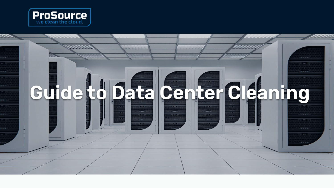

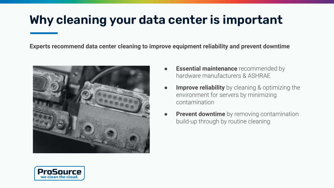# **Why cleaning your data center is important**

**Experts recommend data center cleaning to improve equipment reliability and prevent downtime**



- **Essential maintenance** recommended by hardware manufacturers & ASHRAE
- **Improve reliability** by cleaning & optimizing the environment for servers by minimizing contamination
- **Prevent downtime** by removing contamination build-up through by routine cleaning

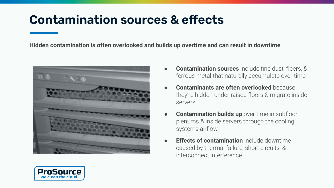## **Contamination sources & effects**

**Hidden contamination is often overlooked and builds up overtime and can result in downtime**



- **Contamination sources** include fine dust, fibers, & ferrous metal that naturally accumulate over time
- **Contaminants are often overlooked** because they're hidden under raised floors & migrate inside servers
- **Contamination builds up** over time in subfloor plenums & inside servers through the cooling systems airflow
- **Effects of contamination** include downtime caused by thermal failure, short circuits, & interconnect interference

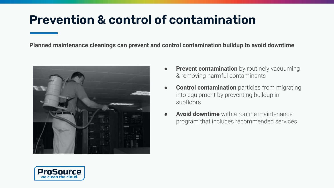## **Prevention & control of contamination**

**Planned maintenance cleanings can prevent and control contamination buildup to avoid downtime**



- **Prevent contamination** by routinely vacuuming & removing harmful contaminants
- **Control contamination** particles from migrating into equipment by preventing buildup in subfloors
- **Avoid downtime** with a routine maintenance program that includes recommended services

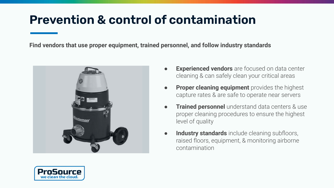# **Prevention & control of contamination**

**Find vendors that use proper equipment, trained personnel, and follow industry standards**



- **Experienced vendors** are focused on data center cleaning & can safely clean your critical areas
- **Proper cleaning equipment** provides the highest capture rates & are safe to operate near servers
- **Trained personnel** understand data centers & use proper cleaning procedures to ensure the highest level of quality
- **Industry standards** include cleaning subfloors, raised floors, equipment, & monitoring airborne contamination

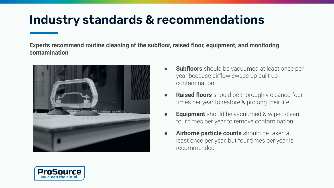## **Industry standards & recommendations**

**Experts recommend routine cleaning of the subfloor, raised floor, equipment, and monitoring contamination**



- **Subfloors** should be vacuumed at least once per year because airflow sweps up built up contamination
- **Raised floors** should be thoroughly cleaned four times per year to restore & prolong their life
- **Equipment** should be vacuumed & wiped clean four times per year to remove contamination
- **Airborne particle counts** should be taken at least once per year, but four times per year is recommended

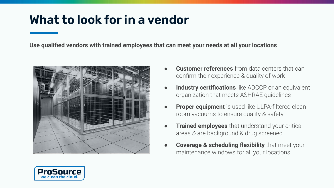#### **What to look for in a vendor**

**Use qualified vendors with trained employees that can meet your needs at all your locations**



- **Customer references** from data centers that can confirm their experience & quality of work
- **Industry certifications** like ADCCP or an equivalent organization that meets ASHRAE guidelines
- **Proper equipment** is used like ULPA-filtered clean room vacuums to ensure quality & safety
- **Trained employees** that understand your critical areas & are background & drug screened
- **Coverage & scheduling flexibility** that meet your maintenance windows for all your locations

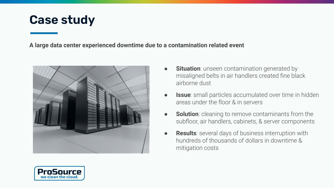#### **Case study**

**A large data center experienced downtime due to a contamination related event**





- **Issue**: small particles accumulated over time in hidden areas under the floor & in servers
- **Solution**: cleaning to remove contaminants from the subfloor, air handlers, cabinets, & server components
- **Results**: several days of business interruption with hundreds of thousands of dollars in downtime & mitigation costs

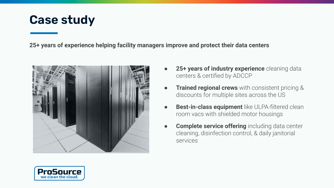#### **Case study**

**25+ years of experience helping facility managers improve and protect their data centers**



- 25+ years of industry experience cleaning data centers & certified by ADCCP
- **Trained regional crews** with consistent pricing & discounts for multiple sites across the US
- **Best-in-class equipment** like ULPA-filtered clean room vacs with shielded motor housings
- **Complete service offering** including data center cleaning, disinfection control, & daily janitorial services